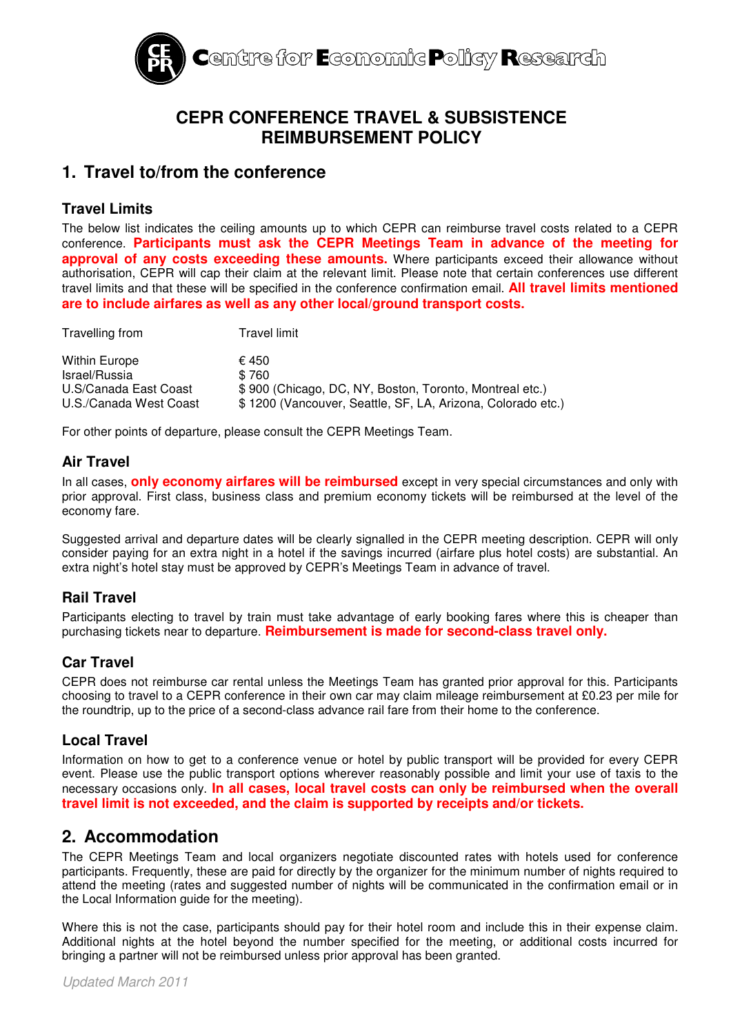

# **CEPR CONFERENCE TRAVEL & SUBSISTENCE REIMBURSEMENT POLICY**

# **1. Travel to/from the conference**

### **Travel Limits**

The below list indicates the ceiling amounts up to which CEPR can reimburse travel costs related to a CEPR conference. **Participants must ask the CEPR Meetings Team in advance of the meeting for approval of any costs exceeding these amounts.** Where participants exceed their allowance without authorisation, CEPR will cap their claim at the relevant limit. Please note that certain conferences use different travel limits and that these will be specified in the conference confirmation email. **All travel limits mentioned are to include airfares as well as any other local/ground transport costs.**

| Travelling from                                 | Travel limit                                                                                                           |
|-------------------------------------------------|------------------------------------------------------------------------------------------------------------------------|
| Within Europe                                   | € 450                                                                                                                  |
| Israel/Russia                                   | \$760                                                                                                                  |
| U.S/Canada East Coast<br>U.S./Canada West Coast | \$900 (Chicago, DC, NY, Boston, Toronto, Montreal etc.)<br>\$1200 (Vancouver, Seattle, SF, LA, Arizona, Colorado etc.) |

For other points of departure, please consult the CEPR Meetings Team.

### **Air Travel**

In all cases, **only economy airfares will be reimbursed** except in very special circumstances and only with prior approval. First class, business class and premium economy tickets will be reimbursed at the level of the economy fare.

Suggested arrival and departure dates will be clearly signalled in the CEPR meeting description. CEPR will only consider paying for an extra night in a hotel if the savings incurred (airfare plus hotel costs) are substantial. An extra night's hotel stay must be approved by CEPR's Meetings Team in advance of travel.

## **Rail Travel**

Participants electing to travel by train must take advantage of early booking fares where this is cheaper than purchasing tickets near to departure. **Reimbursement is made for second-class travel only.**

## **Car Travel**

CEPR does not reimburse car rental unless the Meetings Team has granted prior approval for this. Participants choosing to travel to a CEPR conference in their own car may claim mileage reimbursement at £0.23 per mile for the roundtrip, up to the price of a second-class advance rail fare from their home to the conference.

### **Local Travel**

Information on how to get to a conference venue or hotel by public transport will be provided for every CEPR event. Please use the public transport options wherever reasonably possible and limit your use of taxis to the necessary occasions only. **In all cases, local travel costs can only be reimbursed when the overall travel limit is not exceeded, and the claim is supported by receipts and/or tickets.**

## **2. Accommodation**

The CEPR Meetings Team and local organizers negotiate discounted rates with hotels used for conference participants. Frequently, these are paid for directly by the organizer for the minimum number of nights required to attend the meeting (rates and suggested number of nights will be communicated in the confirmation email or in the Local Information guide for the meeting).

Where this is not the case, participants should pay for their hotel room and include this in their expense claim. Additional nights at the hotel beyond the number specified for the meeting, or additional costs incurred for bringing a partner will not be reimbursed unless prior approval has been granted.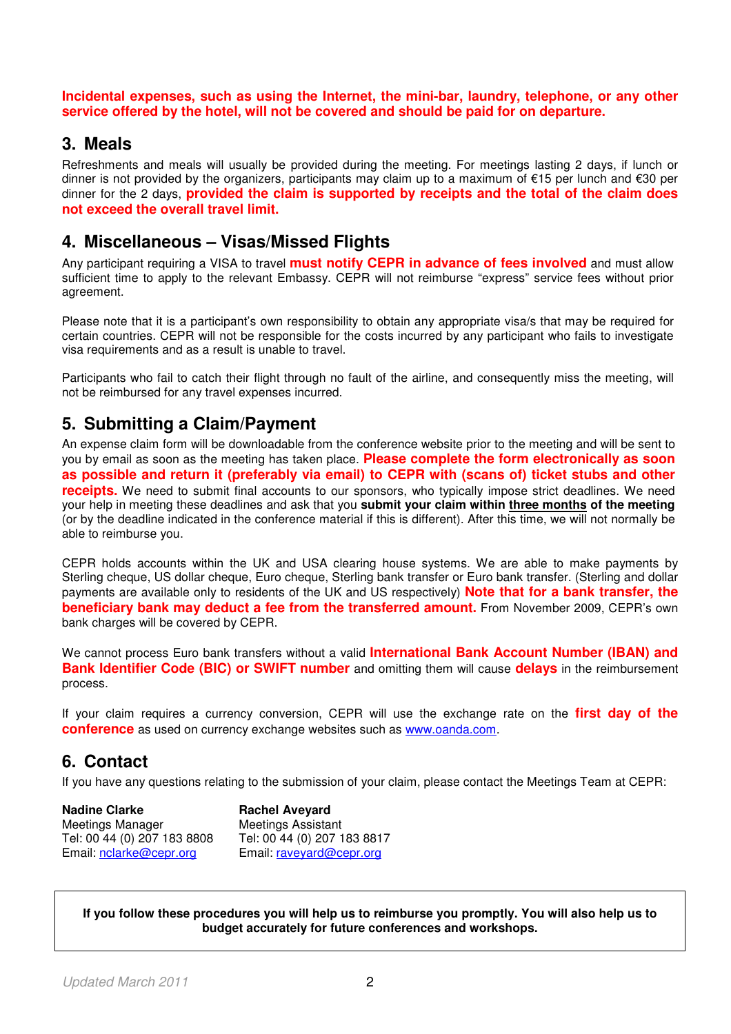**Incidental expenses, such as using the Internet, the mini-bar, laundry, telephone, or any other service offered by the hotel, will not be covered and should be paid for on departure.** 

## **3. Meals**

Refreshments and meals will usually be provided during the meeting. For meetings lasting 2 days, if lunch or dinner is not provided by the organizers, participants may claim up to a maximum of €15 per lunch and €30 per dinner for the 2 days, **provided the claim is supported by receipts and the total of the claim does not exceed the overall travel limit.**

## **4. Miscellaneous – Visas/Missed Flights**

Any participant requiring a VISA to travel **must notify CEPR in advance of fees involved** and must allow sufficient time to apply to the relevant Embassy. CEPR will not reimburse "express" service fees without prior agreement.

Please note that it is a participant's own responsibility to obtain any appropriate visa/s that may be required for certain countries. CEPR will not be responsible for the costs incurred by any participant who fails to investigate visa requirements and as a result is unable to travel.

Participants who fail to catch their flight through no fault of the airline, and consequently miss the meeting, will not be reimbursed for any travel expenses incurred.

# **5. Submitting a Claim/Payment**

An expense claim form will be downloadable from the conference website prior to the meeting and will be sent to you by email as soon as the meeting has taken place. **Please complete the form electronically as soon as possible and return it (preferably via email) to CEPR with (scans of) ticket stubs and other receipts.** We need to submit final accounts to our sponsors, who typically impose strict deadlines. We need your help in meeting these deadlines and ask that you **submit your claim within three months of the meeting** (or by the deadline indicated in the conference material if this is different). After this time, we will not normally be able to reimburse you.

CEPR holds accounts within the UK and USA clearing house systems. We are able to make payments by Sterling cheque, US dollar cheque, Euro cheque, Sterling bank transfer or Euro bank transfer. (Sterling and dollar payments are available only to residents of the UK and US respectively) **Note that for a bank transfer, the beneficiary bank may deduct a fee from the transferred amount.** From November 2009, CEPR's own bank charges will be covered by CEPR.

We cannot process Euro bank transfers without a valid **International Bank Account Number (IBAN) and Bank Identifier Code (BIC) or SWIFT number** and omitting them will cause **delays** in the reimbursement process.

If your claim requires a currency conversion, CEPR will use the exchange rate on the **first day of the conference** as used on currency exchange websites such as www.oanda.com.

# **6. Contact**

If you have any questions relating to the submission of your claim, please contact the Meetings Team at CEPR:

| <b>Nadine Clarke</b>        | <b>Rachel Aveyard</b>       |
|-----------------------------|-----------------------------|
| Meetings Manager            | <b>Meetings Assistant</b>   |
| Tel: 00 44 (0) 207 183 8808 | Tel: 00 44 (0) 207 183 8817 |
| Email: nclarke@cepr.org     | Email: raveyard@cepr.org    |

**If you follow these procedures you will help us to reimburse you promptly. You will also help us to budget accurately for future conferences and workshops.**